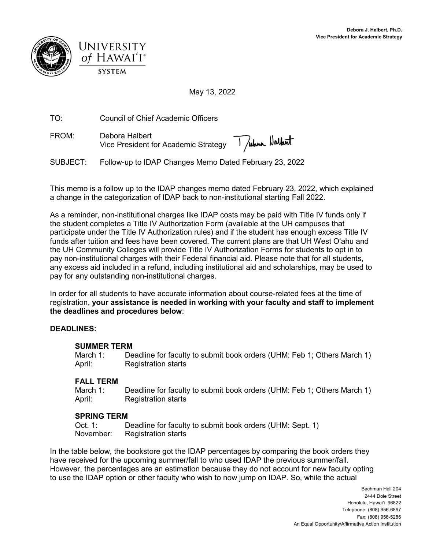



May 13, 2022

TO: Council of Chief Academic Officers

FROM: Debora Halbert Vice President for Academic Strategy

SUBJECT: Follow-up to IDAP Changes Memo Dated February 23, 2022

This memo is a follow up to the IDAP changes memo dated February 23, 2022, which explained a change in the categorization of IDAP back to non-institutional starting Fall 2022.

As a reminder, non-institutional charges like IDAP costs may be paid with Title IV funds only if the student completes a Title IV Authorization Form (available at the UH campuses that participate under the Title IV Authorization rules) and if the student has enough excess Title IV funds after tuition and fees have been covered. The current plans are that UH West O'ahu and the UH Community Colleges will provide Title IV Authorization Forms for students to opt in to pay non-institutional charges with their Federal financial aid. Please note that for all students, any excess aid included in a refund, including institutional aid and scholarships, may be used to pay for any outstanding non-institutional charges.

In order for all students to have accurate information about course-related fees at the time of registration, **your assistance is needed in working with your faculty and staff to implement the deadlines and procedures below**:

## **DEADLINES:**

## **SUMMER TERM**

March 1: Deadline for faculty to submit book orders (UHM: Feb 1; Others March 1) April: Registration starts

## **FALL TERM**

March 1: Deadline for faculty to submit book orders (UHM: Feb 1; Others March 1) April: Registration starts

## **SPRING TERM**

Oct. 1: Deadline for faculty to submit book orders (UHM: Sept. 1) November: Registration starts

In the table below, the bookstore got the IDAP percentages by comparing the book orders they have received for the upcoming summer/fall to who used IDAP the previous summer/fall. However, the percentages are an estimation because they do not account for new faculty opting to use the IDAP option or other faculty who wish to now jump on IDAP. So, while the actual